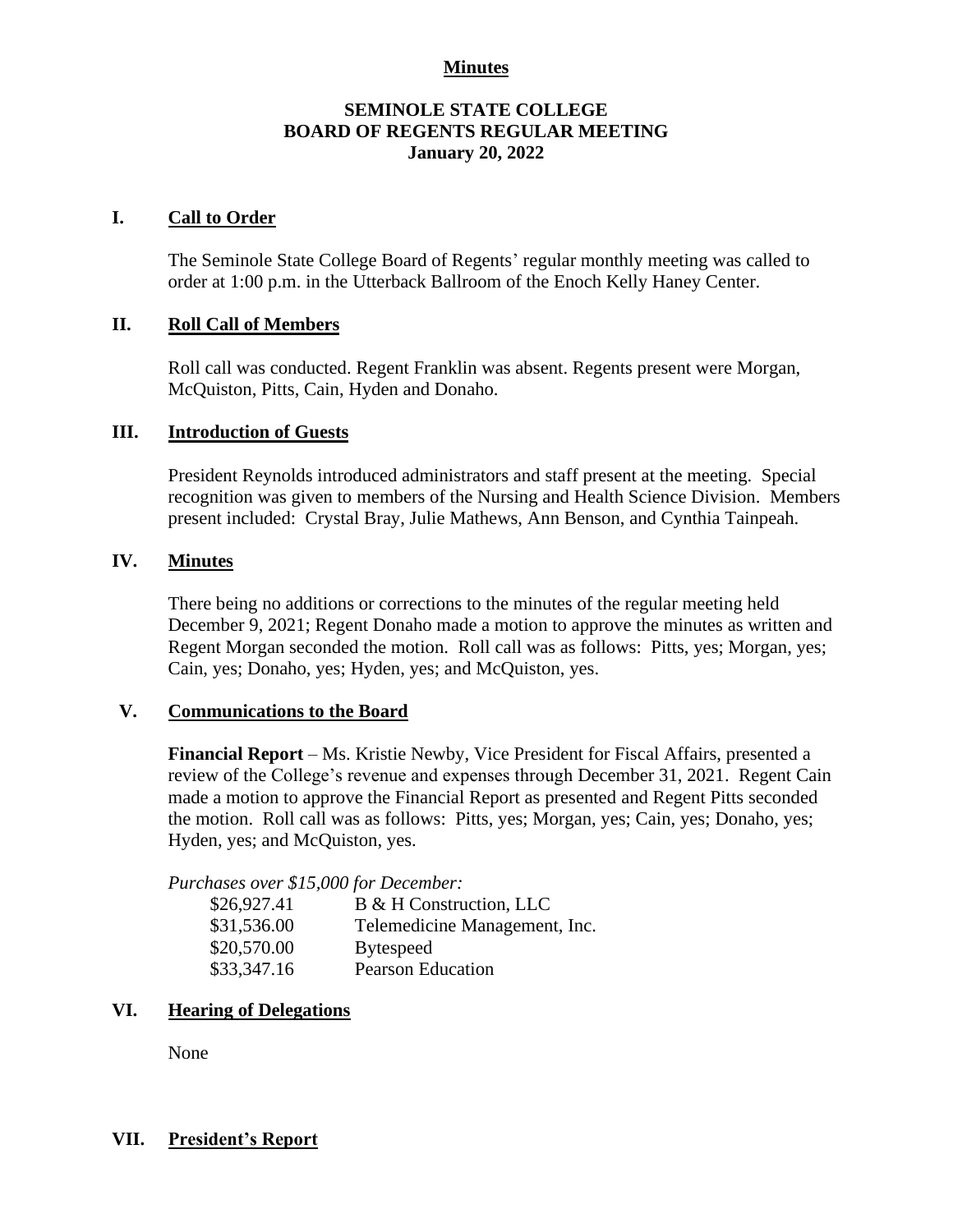## **Minutes**

## **SEMINOLE STATE COLLEGE BOARD OF REGENTS REGULAR MEETING January 20, 2022**

## **I. Call to Order**

The Seminole State College Board of Regents' regular monthly meeting was called to order at 1:00 p.m. in the Utterback Ballroom of the Enoch Kelly Haney Center.

### **II. Roll Call of Members**

Roll call was conducted. Regent Franklin was absent. Regents present were Morgan, McQuiston, Pitts, Cain, Hyden and Donaho.

### **III. Introduction of Guests**

President Reynolds introduced administrators and staff present at the meeting. Special recognition was given to members of the Nursing and Health Science Division. Members present included: Crystal Bray, Julie Mathews, Ann Benson, and Cynthia Tainpeah.

#### **IV. Minutes**

There being no additions or corrections to the minutes of the regular meeting held December 9, 2021; Regent Donaho made a motion to approve the minutes as written and Regent Morgan seconded the motion. Roll call was as follows: Pitts, yes; Morgan, yes; Cain, yes; Donaho, yes; Hyden, yes; and McQuiston, yes.

#### **V. Communications to the Board**

**Financial Report** – Ms. Kristie Newby, Vice President for Fiscal Affairs, presented a review of the College's revenue and expenses through December 31, 2021. Regent Cain made a motion to approve the Financial Report as presented and Regent Pitts seconded the motion. Roll call was as follows: Pitts, yes; Morgan, yes; Cain, yes; Donaho, yes; Hyden, yes; and McQuiston, yes.

*Purchases over \$15,000 for December:*

| \$26,927.41 | B & H Construction, LLC       |
|-------------|-------------------------------|
| \$31,536.00 | Telemedicine Management, Inc. |
| \$20,570.00 | <b>Bytespeed</b>              |
| \$33,347.16 | <b>Pearson Education</b>      |

## **VI. Hearing of Delegations**

None

### **VII. President's Report**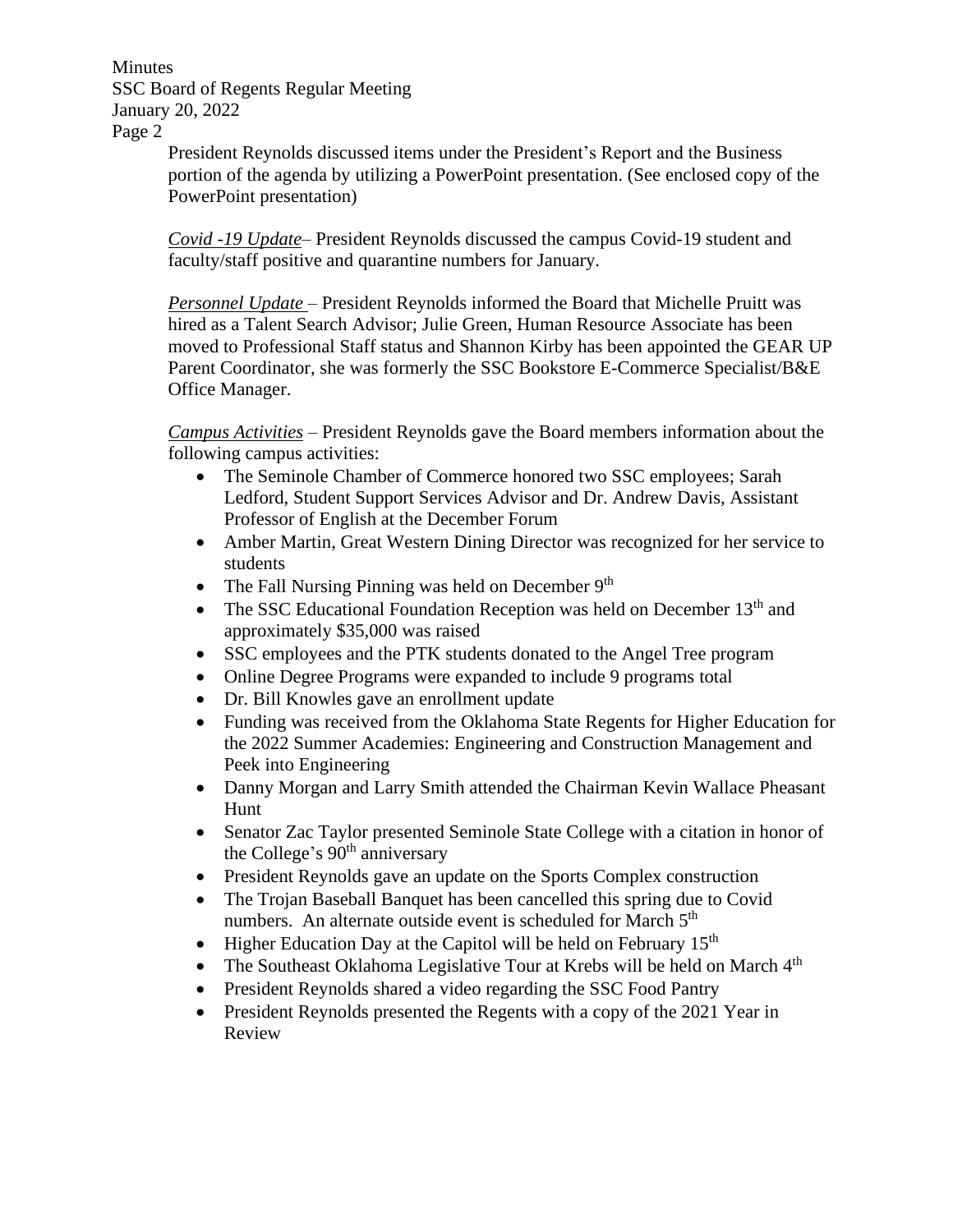Minutes SSC Board of Regents Regular Meeting January 20, 2022 Page 2

> President Reynolds discussed items under the President's Report and the Business portion of the agenda by utilizing a PowerPoint presentation. (See enclosed copy of the PowerPoint presentation)

*Covid -19 Update*– President Reynolds discussed the campus Covid-19 student and faculty/staff positive and quarantine numbers for January.

*Personnel Update* – President Reynolds informed the Board that Michelle Pruitt was hired as a Talent Search Advisor; Julie Green, Human Resource Associate has been moved to Professional Staff status and Shannon Kirby has been appointed the GEAR UP Parent Coordinator, she was formerly the SSC Bookstore E-Commerce Specialist/B&E Office Manager.

*Campus Activities* – President Reynolds gave the Board members information about the following campus activities:

- The Seminole Chamber of Commerce honored two SSC employees; Sarah Ledford, Student Support Services Advisor and Dr. Andrew Davis, Assistant Professor of English at the December Forum
- Amber Martin, Great Western Dining Director was recognized for her service to students
- The Fall Nursing Pinning was held on December 9<sup>th</sup>
- The SSC Educational Foundation Reception was held on December  $13<sup>th</sup>$  and approximately \$35,000 was raised
- SSC employees and the PTK students donated to the Angel Tree program
- Online Degree Programs were expanded to include 9 programs total
- Dr. Bill Knowles gave an enrollment update
- Funding was received from the Oklahoma State Regents for Higher Education for the 2022 Summer Academies: Engineering and Construction Management and Peek into Engineering
- Danny Morgan and Larry Smith attended the Chairman Kevin Wallace Pheasant Hunt
- Senator Zac Taylor presented Seminole State College with a citation in honor of the College's 90<sup>th</sup> anniversary
- President Reynolds gave an update on the Sports Complex construction
- The Trojan Baseball Banquet has been cancelled this spring due to Covid numbers. An alternate outside event is scheduled for March 5<sup>th</sup>
- Higher Education Day at the Capitol will be held on February  $15<sup>th</sup>$
- The Southeast Oklahoma Legislative Tour at Krebs will be held on March  $4<sup>th</sup>$
- President Reynolds shared a video regarding the SSC Food Pantry
- President Reynolds presented the Regents with a copy of the 2021 Year in Review